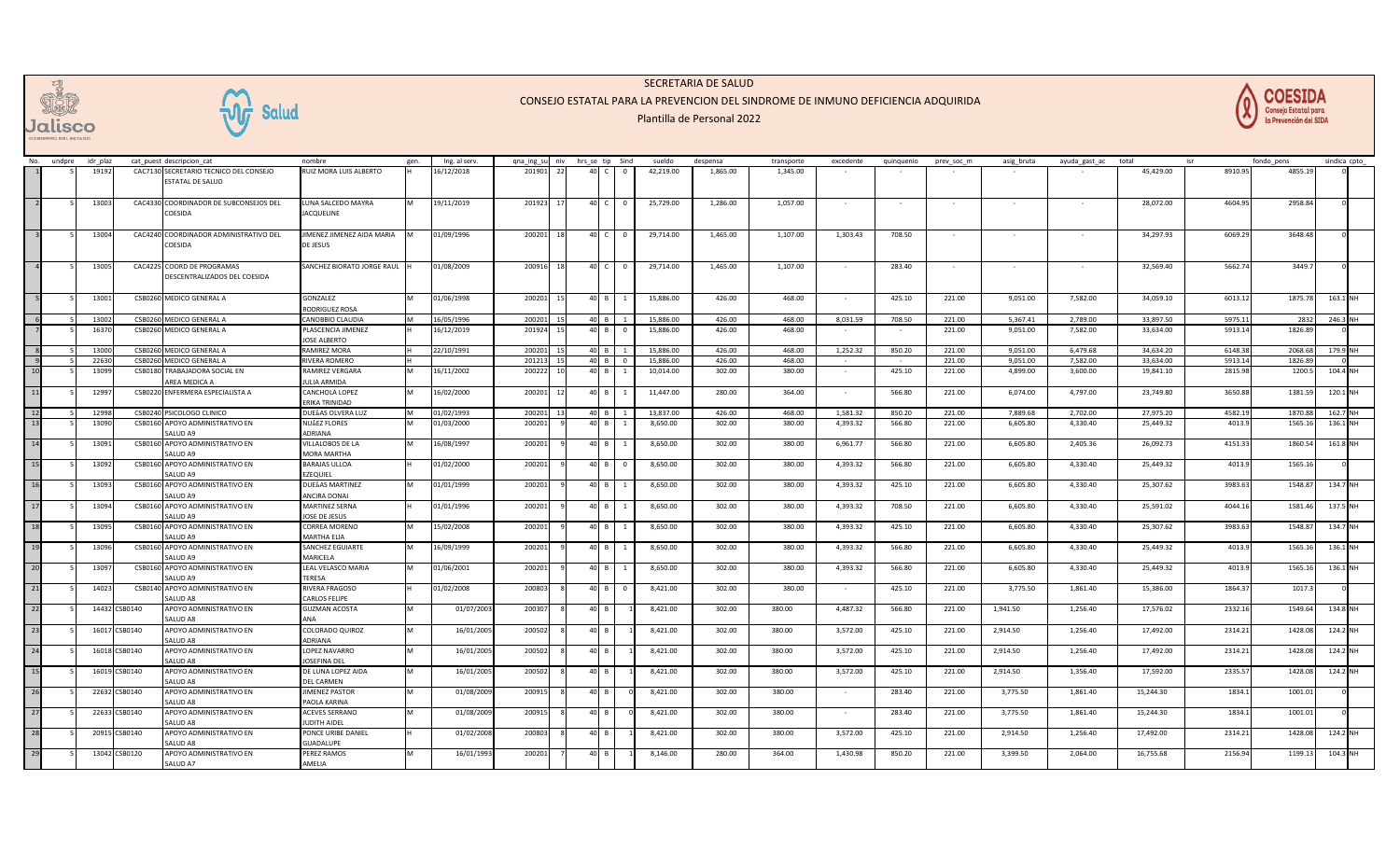

**W** Salud

## SECRETARIA DE SALUD

## CONSEJO ESTATAL PARA LA PREVENCION DEL SINDROME DE INMUNO DEFICIENCIA ADQUIRIDA

## Plantilla de Personal 2022



| No.                                     | undpre | idr plaz |               | cat puest descripcion cat              | nombre                     | gen. | Ing. al serv. | qna ing su | niv | hrs se tip                               | Sind | sueldo    | despensa | transporte | excedente                | quinquenio | prev soc m | asig bruta | ayuda gast ac | total     |         | fondo pens | sindica cpto |          |
|-----------------------------------------|--------|----------|---------------|----------------------------------------|----------------------------|------|---------------|------------|-----|------------------------------------------|------|-----------|----------|------------|--------------------------|------------|------------|------------|---------------|-----------|---------|------------|--------------|----------|
|                                         |        | 1919     |               | CAC7130 SECRETARIO TECNICO DEL CONSEJO | RUIZ MORA LUIS ALBERTO     |      | 6/12/2018     | 20190      |     | 40                                       |      | 42,219.00 | 1,865.00 | 1,345.00   |                          |            |            |            |               | 45,429.00 | 8910.95 | 4855.1     |              |          |
|                                         |        |          |               |                                        |                            |      |               |            |     |                                          |      |           |          |            |                          |            |            |            |               |           |         |            |              |          |
|                                         |        |          |               | ESTATAL DE SALUD                       |                            |      |               |            |     |                                          |      |           |          |            |                          |            |            |            |               |           |         |            |              |          |
|                                         |        |          |               |                                        |                            |      |               |            |     |                                          |      |           |          |            |                          |            |            |            |               |           |         |            |              |          |
|                                         |        | 1300     |               | CAC4330 COORDINADOR DE SUBCONSEJOS DEL | LUNA SALCEDO MAYRA         |      | 19/11/2019    | 201923     |     |                                          |      | 25,729.00 | 1,286.00 | 1,057.00   |                          |            |            |            |               | 28,072.00 | 4604.95 | 2958.84    |              |          |
|                                         |        |          |               | COESIDA                                | <b>JACQUELINE</b>          |      |               |            |     |                                          |      |           |          |            |                          |            |            |            |               |           |         |            |              |          |
|                                         |        |          |               |                                        |                            |      |               |            |     |                                          |      |           |          |            |                          |            |            |            |               |           |         |            |              |          |
|                                         |        | 13004    |               | CAC4240 COORDINADOR ADMINISTRATIVO DEL | JIMENEZ JIMENEZ AIDA MARIA |      | 01/09/1996    | 200201     |     | 40                                       |      | 29,714.00 | 1,465.00 | 1,107.00   | 1,303.43                 | 708.50     |            |            |               | 34,297.93 | 6069.29 | 3648.48    |              |          |
|                                         |        |          |               | COESIDA                                | DE JESUS                   |      |               |            |     |                                          |      |           |          |            |                          |            |            |            |               |           |         |            |              |          |
|                                         |        |          |               |                                        |                            |      |               |            |     |                                          |      |           |          |            |                          |            |            |            |               |           |         |            |              |          |
|                                         |        | 13005    |               | CAC4225 COORD DE PROGRAMAS             | SANCHEZ BIORATO JORGE RAUL |      | 01/08/2009    | 200916     | 11  | 40<br>$\sqrt{ }$                         |      | 29,714.00 | 1,465.00 | 1,107.00   |                          | 283.40     |            |            |               | 32.569.40 | 5662.74 | 3449.7     |              |          |
|                                         |        |          |               |                                        |                            |      |               |            |     |                                          |      |           |          |            |                          |            |            |            |               |           |         |            |              |          |
|                                         |        |          |               | DESCENTRALIZADOS DEL COESIDA           |                            |      |               |            |     |                                          |      |           |          |            |                          |            |            |            |               |           |         |            |              |          |
|                                         |        |          |               |                                        |                            |      |               |            |     |                                          |      |           |          |            |                          |            |            |            |               |           |         |            |              |          |
|                                         |        | 1300     |               | CSB0260 MEDICO GENERAL A               | GONZALEZ                   |      | 01/06/1998    | 200201     |     | 40                                       |      | 15,886.00 | 426.00   | 468.00     |                          | 425.10     | 221.00     | 9,051.00   | 7,582.00      | 34,059.10 | 6013.12 | 1875.7     | 163.1        |          |
|                                         |        |          |               |                                        | ODRIGUEZ ROSA              |      |               |            |     |                                          |      |           |          |            |                          |            |            |            |               |           |         |            |              |          |
|                                         |        | 1300     |               | CSB0260 MEDICO GENERAL A               | CANOBBIO CLAUDIA           |      | 16/05/1996    | 200201     |     | $\Lambda$ 0 R                            |      | 15.886.00 | 426.00   | 468.00     | 8,031.59                 | 708.50     | 221.00     | 5.367.41   | 2.789.00      | 33,897.50 | 5975.1  | 2832       | 246.3        |          |
|                                         |        | 1637     |               | CSB0260 MEDICO GENERAL A               | PLASCENCIA JIMENEZ         |      | 16/12/2019    | 201924     |     | 40                                       |      | 15,886.00 | 426.00   | 468.00     |                          |            | 221.00     | 9,051.00   | 7,582.00      | 33,634.00 | 5913.14 | 1826.89    |              |          |
|                                         |        |          |               |                                        | JOSE ALBERTO               |      |               |            |     |                                          |      |           |          |            |                          |            |            |            |               |           |         |            |              |          |
|                                         |        | 13000    |               | CSB0260 MEDICO GENERAL A               | <b>RAMIREZ MORA</b>        |      | 22/10/1991    | 200201     |     | $\Lambda$ <sup><math>\Omega</math></sup> |      | 15,886.00 | 426.00   | 468.00     | 1,252.32                 | 850.20     | 221.00     | 9,051.00   | 6,479.68      | 34,634.20 | 6148.38 | 2068.68    | 179.9 NH     |          |
|                                         |        | 22630    | CSB026        | MEDICO GENERAL /                       | RIVERA ROMERO              |      |               | 20121      |     |                                          |      | 15,886.00 | 426.00   | 468.00     |                          |            | 221.00     | 9,051.00   | 7,582.00      | 33,634.00 | 5913.1  | 1826.8     |              |          |
| $\begin{array}{c} 9 \\ 10 \end{array}$  |        | 1309     |               | TRABAJADORA SOCIAL EN                  | <b>RAMIREZ VERGARA</b>     |      |               | 20022      |     | 40                                       |      |           | 302.00   |            |                          | 425.10     | 221.00     | 4,899.00   | 3,600.00      | 19,841.10 | 2815.98 |            |              | 104.4 NH |
|                                         |        |          | CSB0180       | AREA MEDICA A                          | <b>JULIA ARMIDA</b>        |      | 16/11/2002    |            |     |                                          |      | 10,014.00 |          | 380.00     |                          |            |            |            |               |           |         | 1200.5     |              |          |
| $\overline{11}$                         |        |          |               |                                        |                            |      |               |            |     |                                          |      |           |          |            |                          |            |            |            |               |           |         |            |              |          |
|                                         |        | 1299     | <b>CSB022</b> | <b>ENFERMERA ESPECIALISTA A</b>        | CANCHOLA LOPEZ             |      | 16/02/2000    | 200201     |     | 40                                       |      | 11,447.00 | 280.00   | 364.00     | $\overline{\phantom{a}}$ | 566.80     | 221.00     | 6,074.00   | 4,797.00      | 23,749.80 | 3650.88 | 1381.5     |              | 120.1 NH |
|                                         |        |          |               |                                        | ERIKA TRINIDAD             |      |               |            |     |                                          |      |           |          |            |                          |            |            |            |               |           |         |            |              |          |
| $\begin{array}{c} 12 \\ 13 \end{array}$ |        | 1299     |               | CSB0240 PSICOLOGO CLINICO              | DUELAS OLVERA LUZ          |      | 01/02/1993    | 200201     |     | 40 B                                     |      | 13,837.00 | 426.00   | 468.00     | 1,581.32                 | 850.20     | 221.00     | 7,889.68   | 2,702.00      | 27,975.20 | 4582.19 | 1870.8     | 162.7 NH     |          |
|                                         |        | 1309     |               | CSB0160 APOYO ADMINISTRATIVO EN        | NUAEZ FLORES               |      | 01/03/2000    | 20020      |     |                                          |      | 8,650.00  | 302.00   | 380.00     | 4,393.32                 | 566.80     | 221.00     | 6,605.80   | 4,330.40      | 25,449.32 | 4013.9  | 1565.1     |              | 136.1 NH |
|                                         |        |          |               | ALLID A9                               | <b>IDRIANA</b>             |      |               |            |     |                                          |      |           |          |            |                          |            |            |            |               |           |         |            |              |          |
| $\overline{14}$                         |        | 1309     |               | CSB0160 APOYO ADMINISTRATIVO EN        | VILLALOBOS DE LA           |      | 16/08/1997    | 200201     |     | 40                                       |      | 8,650.00  | 302.00   | 380.00     | 6,961.77                 | 566.80     | 221.00     | 6,605.80   | 2,405.36      | 26,092.73 | 4151.33 | 1860.54    |              | 161.8 NH |
|                                         |        |          |               | <b>CALLID 49</b>                       | <b>MORA MARTHA</b>         |      |               |            |     |                                          |      |           |          |            |                          |            |            |            |               |           |         |            |              |          |
| 15                                      |        | 1309     | CSB016        | 0 APOYO ADMINISTRATIVO EN              | <b>BARAJAS ULLOA</b>       |      | 01/02/2000    | 20020      |     | 40                                       |      | 8,650.00  | 302.00   | 380.00     | 4,393.32                 | 566.80     | 221.00     | 6,605.80   | 4,330.40      | 25,449.32 | 4013.9  | 1565.1     |              |          |
|                                         |        |          |               | SAI UD A9                              | <b>ZEQUIEL</b>             |      |               |            |     |                                          |      |           |          |            |                          |            |            |            |               |           |         |            |              |          |
| 16                                      |        | 1309     |               | CSB0160 APOYO ADMINISTRATIVO EN        | DUELAS MARTINEZ            |      | 01/01/1999    | 200201     |     | 40 B                                     |      | 8,650.00  | 302.00   | 380.00     | 4,393.32                 | 425.10     | 221.00     | 6,605.80   | 4,330.40      | 25,307.62 | 3983.63 | 1548.8     |              | 134.7 NH |
|                                         |        |          |               | SAI UD A9                              | <b>INCIRA DONAI</b>        |      |               |            |     |                                          |      |           |          |            |                          |            |            |            |               |           |         |            |              |          |
| 17                                      |        |          |               |                                        |                            |      |               |            |     | 40                                       |      |           |          |            |                          |            |            |            |               |           |         |            |              |          |
|                                         |        | 13094    |               | CSB0160 APOYO ADMINISTRATIVO EN        | <b>MARTINEZ SERNA</b>      |      | 01/01/1996    | 20020      |     |                                          |      | 8,650.00  | 302.00   | 380.00     | 4,393.32                 | 708.50     | 221.00     | 6,605.80   | 4,330.40      | 25,591.02 | 4044.16 | 1581.4     |              | 137.5 NH |
|                                         |        |          |               | <b>PATLINA</b>                         | OSE DE JESUS               |      |               |            |     |                                          |      |           |          |            |                          |            |            |            |               |           |         |            |              |          |
| 18                                      |        | 1309     |               | CSB0160 APOYO ADMINISTRATIVO EN        | CORREA MORENO              |      | 15/02/2008    | 200201     |     | 40                                       |      | 8,650.00  | 302.00   | 380.00     | 4,393.32                 | 425.10     | 221.00     | 6,605.80   | 4,330.40      | 25,307.62 | 3983.63 | 1548.8     | 134.7 NH     |          |
|                                         |        |          |               | SALUD A9                               | <b>MARTHA ELIA</b>         |      |               |            |     |                                          |      |           |          |            |                          |            |            |            |               |           |         |            |              |          |
| 19                                      |        | 1309     |               | CSB0160 APOYO ADMINISTRATIVO EN        | SANCHEZ EGUIARTE           |      | 16/09/1999    | 20020      |     | 40 <sup>1</sup>                          |      | 8,650.00  | 302.00   | 380.00     | 4,393.32                 | 566.80     | 221.00     | 6.605.80   | 4.330.40      | 25.449.32 | 4013.9  | 1565.1     |              | 136.1 NH |
|                                         |        |          |               | <b>PATLINA</b>                         | <b>MARICELA</b>            |      |               |            |     |                                          |      |           |          |            |                          |            |            |            |               |           |         |            |              |          |
| $\overline{20}$                         |        | 1309     |               | CSB0160 APOYO ADMINISTRATIVO EN        | LEAL VELASCO MARIA         |      | 01/06/2001    | 200201     |     | 40                                       |      | 8,650.00  | 302.00   | 380.00     | 4,393.32                 | 566.80     | 221.00     | 6,605.80   | 4,330.40      | 25.449.32 | 4013.9  | 1565.1     |              | 136.1 NH |
|                                         |        |          |               | <b>CALLID 49</b>                       | ERESA                      |      |               |            |     |                                          |      |           |          |            |                          |            |            |            |               |           |         |            |              |          |
| $\overline{21}$                         |        | 1402     | CSB014        | APOYO ADMINISTRATIVO EN                | RIVERA FRAGOSO             |      | 01/02/2008    | 200803     |     | 40                                       |      | 8,421.00  | 302.00   | 380.00     | $\overline{\phantom{a}}$ | 425.10     | 221.00     | 3,775.50   | 1,861.40      | 15,386.00 | 1864.37 | 1017.3     |              |          |
|                                         |        |          |               | SAI UD A8                              | CARLOS FELIPE              |      |               |            |     |                                          |      |           |          |            |                          |            |            |            |               |           |         |            |              |          |
| $\overline{22}$                         |        |          | 14432 CSB0140 | APOYO ADMINISTRATIVO EN                | <b>GUZMAN ACOSTA</b>       |      | 01/07/2003    | 200307     |     | 40                                       |      | 8,421.00  | 302.00   | 380.00     | 4,487.32                 | 566.80     | 221.00     | 1,941.50   | 1,256.40      | 17,576.02 | 2332.16 | 1549.64    |              | 134.8 NH |
|                                         |        |          |               | SAI UD A8                              | <b>ANA</b>                 |      |               |            |     |                                          |      |           |          |            |                          |            |            |            |               |           |         |            |              |          |
| $\overline{23}$                         |        | 16017    | CSB0140       | APOYO ADMINISTRATIVO EN                | COLORADO QUIROZ            |      | 16/01/2005    | 20050      |     | 40                                       |      | 8,421.00  | 302.00   | 380.00     | 3,572.00                 | 425.10     | 221.00     | 2,914.50   | 1,256.40      | 17,492.00 | 2314.21 | 1428.08    |              | 124.2 NH |
|                                         |        |          |               | SALUD A8                               | DRIANA                     |      |               |            |     |                                          |      |           |          |            |                          |            |            |            |               |           |         |            |              |          |
| $\overline{24}$                         |        |          | 16018 CSB0140 | APOYO ADMINISTRATIVO EN                | LOPEZ NAVARRO              |      |               | 200502     |     | 40                                       |      | 8,421.00  | 302.00   | 380.00     | 3,572.00                 | 425.10     | 221.00     | 2,914.50   | 1,256.40      | 17,492.00 | 2314.21 | 1428.08    |              | 124.2 NH |
|                                         |        |          |               | <b>SAILIN AR</b>                       |                            |      | 16/01/2005    |            |     |                                          |      |           |          |            |                          |            |            |            |               |           |         |            |              |          |
|                                         |        |          |               |                                        | OSFFINA DEL                |      |               |            |     |                                          |      |           |          |            |                          |            |            |            |               |           |         |            |              |          |
| 15                                      |        |          | 16019 CSB0140 | APOYO ADMINISTRATIVO EN                | DE LUNA LOPEZ AIDA         |      | 16/01/2005    | 200502     |     | 40                                       |      | 8,421.00  | 302.00   | 380.00     | 3,572.00                 | 425.10     | 221.00     | 2,914.50   | 1,356.40      | 17,592.00 | 2335.57 | 1428.08    |              | 124.2 NH |
|                                         |        |          |               | ALLID AR                               | <b>DEL CARMEN</b>          |      |               |            |     |                                          |      |           |          |            |                          |            |            |            |               |           |         |            |              |          |
| $\overline{26}$                         |        |          | 22632 CSB0140 | APOYO ADMINISTRATIVO EN                | <b>JIMENEZ PASTOR</b>      |      | 01/08/2009    | 200915     |     | 40                                       |      | 8,421.00  | 302.00   | 380.00     |                          | 283.40     | 221.00     | 3,775.50   | 1,861.40      | 15,244.30 | 1834.1  | 1001.01    |              |          |
|                                         |        |          |               | SAILID AR                              | PAOLA KARINA               |      |               |            |     |                                          |      |           |          |            |                          |            |            |            |               |           |         |            |              |          |
| $\overline{27}$                         |        | 22633    | CSB0140       | APOYO ADMINISTRATIVO EN                | ACEVES SERRANO             |      | 01/08/2009    | 20091      |     | 40                                       |      | 8,421.00  | 302.00   | 380.00     | $\sim$                   | 283.40     | 221.00     | 3,775.50   | 1,861.40      | 15.244.30 | 1834.1  | 1001.01    |              |          |
|                                         |        |          |               | SAI UD A8                              | <b>UDITH AIDEI</b>         |      |               |            |     |                                          |      |           |          |            |                          |            |            |            |               |           |         |            |              |          |
| 28                                      |        |          | 20915 CSB0140 | APOYO ADMINISTRATIVO EN                | PONCE URIBE DANIEL         |      | 01/02/2008    | 200803     |     | 40                                       |      | 8,421.00  | 302.00   | 380.00     | 3,572.00                 | 425.10     | 221.00     | 2,914.50   | 1,256.40      | 17,492.00 | 2314.21 | 1428.08    |              | 124.2 NH |
|                                         |        |          |               | ALLID AR                               | <b>UADALUPE</b>            |      |               |            |     |                                          |      |           |          |            |                          |            |            |            |               |           |         |            |              |          |
| $\overline{29}$                         |        |          | 13042 CSB0120 | APOYO ADMINISTRATIVO EN                | PEREZ RAMOS                |      | 16/01/1993    | 200201     |     | 40                                       |      | 8,146.00  | 280.00   | 364.00     | 1,430.98                 | 850.20     | 221.00     | 3,399.50   | 2,064.00      | 16,755.68 | 2156.94 | 1199.13    |              | 104.3 NH |
|                                         |        |          |               | SALUD A7                               | AMELIA                     |      |               |            |     |                                          |      |           |          |            |                          |            |            |            |               |           |         |            |              |          |
|                                         |        |          |               |                                        |                            |      |               |            |     |                                          |      |           |          |            |                          |            |            |            |               |           |         |            |              |          |